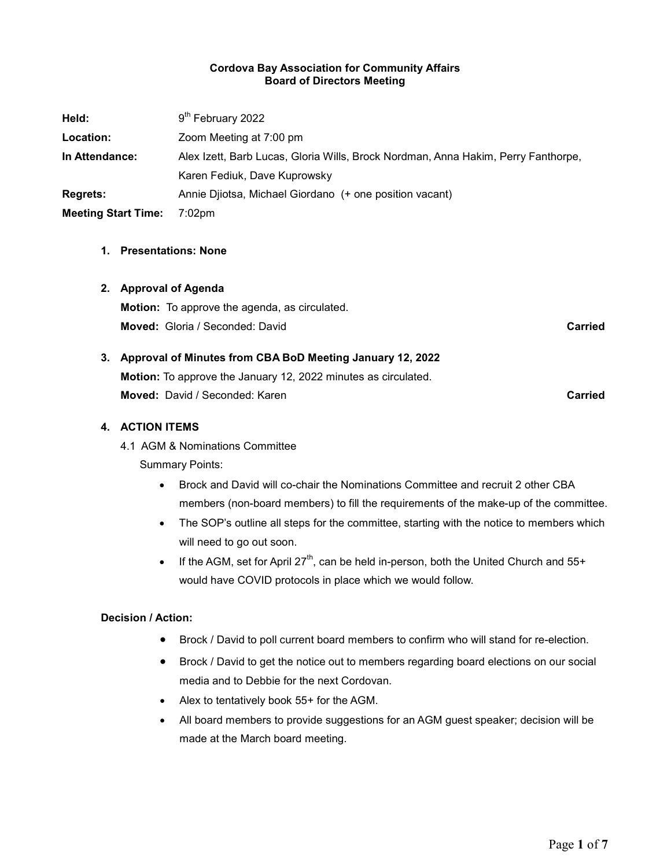#### Cordova Bay Association for Community Affairs Board of Directors Meeting

| Held:                      | 9 <sup>th</sup> February 2022                                                     |
|----------------------------|-----------------------------------------------------------------------------------|
| Location:                  | Zoom Meeting at 7:00 pm                                                           |
| In Attendance:             | Alex Izett, Barb Lucas, Gloria Wills, Brock Nordman, Anna Hakim, Perry Fanthorpe, |
|                            | Karen Fediuk, Dave Kuprowsky                                                      |
| <b>Regrets:</b>            | Annie Djiotsa, Michael Giordano (+ one position vacant)                           |
| <b>Meeting Start Time:</b> | $7:02$ pm                                                                         |

#### 1. Presentations: None

#### 2. Approval of Agenda

Motion: To approve the agenda, as circulated. **Moved:** Gloria / Seconded: David Carried Carried Carried Carried Carried Carried Carried

## 3. Approval of Minutes from CBA BoD Meeting January 12, 2022

Motion: To approve the January 12, 2022 minutes as circulated. **Moved:** David / Seconded: Karen Carried Carried Carried Carried

#### 4. ACTION ITEMS

4.1 AGM & Nominations Committee

Summary Points:

- Brock and David will co-chair the Nominations Committee and recruit 2 other CBA members (non-board members) to fill the requirements of the make-up of the committee.
- The SOP's outline all steps for the committee, starting with the notice to members which will need to go out soon.
- If the AGM, set for April 27<sup>th</sup>, can be held in-person, both the United Church and  $55+$ would have COVID protocols in place which we would follow.

#### Decision / Action:

- Brock / David to poll current board members to confirm who will stand for re-election.
- Brock / David to get the notice out to members regarding board elections on our social media and to Debbie for the next Cordovan.
- Alex to tentatively book 55+ for the AGM.
- All board members to provide suggestions for an AGM guest speaker; decision will be made at the March board meeting.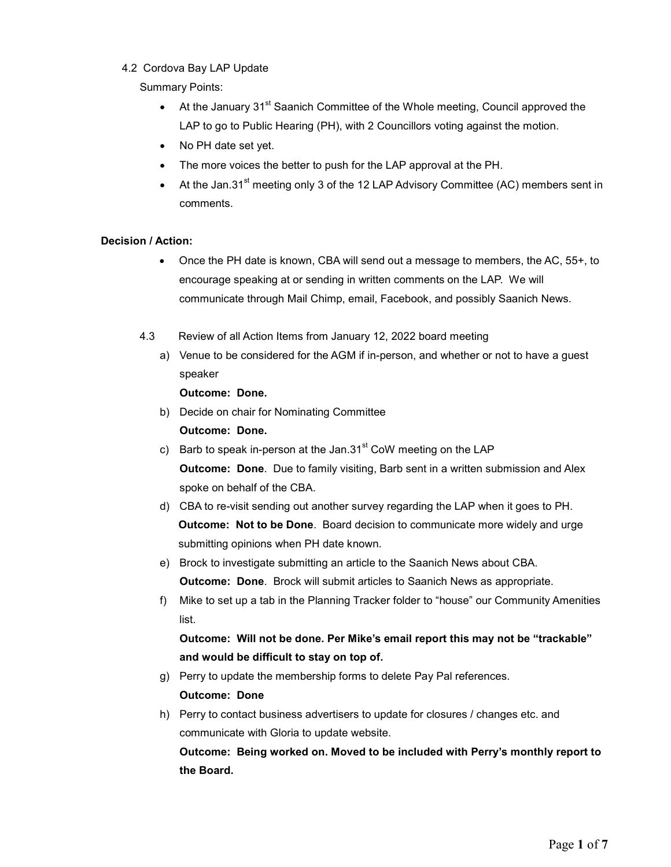#### 4.2 Cordova Bay LAP Update

#### Summary Points:

- $\bullet$  At the January 31<sup>st</sup> Saanich Committee of the Whole meeting, Council approved the LAP to go to Public Hearing (PH), with 2 Councillors voting against the motion.
- No PH date set yet.
- The more voices the better to push for the LAP approval at the PH.
- At the Jan.31<sup>st</sup> meeting only 3 of the 12 LAP Advisory Committee (AC) members sent in comments.

## Decision / Action:

- Once the PH date is known, CBA will send out a message to members, the AC, 55+, to encourage speaking at or sending in written comments on the LAP. We will communicate through Mail Chimp, email, Facebook, and possibly Saanich News.
- 4.3 Review of all Action Items from January 12, 2022 board meeting
	- a) Venue to be considered for the AGM if in-person, and whether or not to have a guest speaker

#### Outcome: Done.

b) Decide on chair for Nominating Committee

Outcome: Done.

- c) Barb to speak in-person at the Jan.31 $\mathrm{^{st}}$  CoW meeting on the LAP Outcome: Done. Due to family visiting, Barb sent in a written submission and Alex spoke on behalf of the CBA.
- d) CBA to re-visit sending out another survey regarding the LAP when it goes to PH. Outcome: Not to be Done. Board decision to communicate more widely and urge submitting opinions when PH date known.
- e) Brock to investigate submitting an article to the Saanich News about CBA. Outcome: Done. Brock will submit articles to Saanich News as appropriate.
- f) Mike to set up a tab in the Planning Tracker folder to "house" our Community Amenities list.

Outcome: Will not be done. Per Mike's email report this may not be "trackable" and would be difficult to stay on top of.

g) Perry to update the membership forms to delete Pay Pal references.

## Outcome: Done

h) Perry to contact business advertisers to update for closures / changes etc. and communicate with Gloria to update website.

Outcome: Being worked on. Moved to be included with Perry's monthly report to the Board.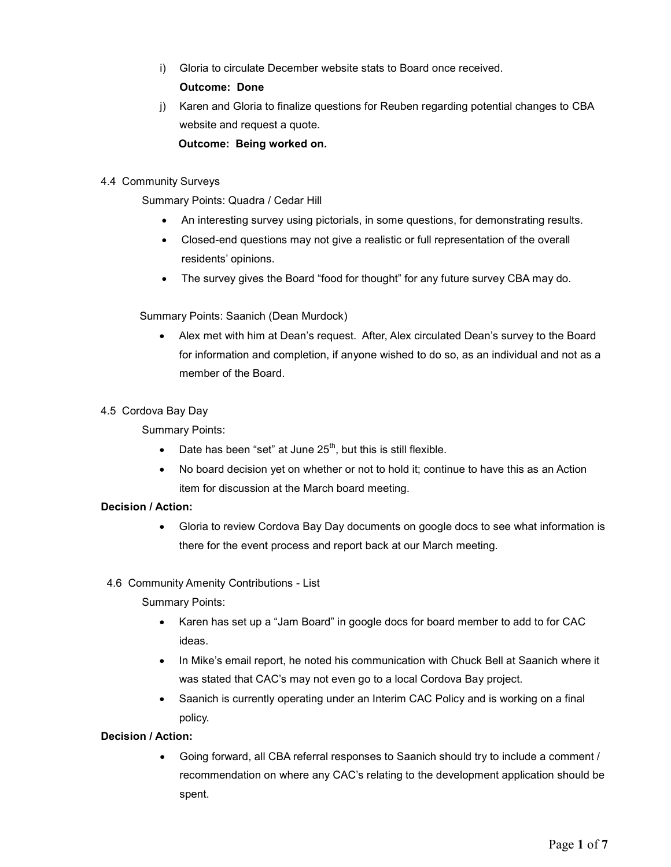i) Gloria to circulate December website stats to Board once received.

# Outcome: Done

j) Karen and Gloria to finalize questions for Reuben regarding potential changes to CBA website and request a quote. Outcome: Being worked on.

# 4.4 Community Surveys

Summary Points: Quadra / Cedar Hill

- An interesting survey using pictorials, in some questions, for demonstrating results.
- Closed-end questions may not give a realistic or full representation of the overall residents' opinions.
- The survey gives the Board "food for thought" for any future survey CBA may do.

## Summary Points: Saanich (Dean Murdock)

 Alex met with him at Dean's request. After, Alex circulated Dean's survey to the Board for information and completion, if anyone wished to do so, as an individual and not as a member of the Board.

## 4.5 Cordova Bay Day

# Summary Points:

- $\bullet$  Date has been "set" at June 25<sup>th</sup>, but this is still flexible.
- No board decision yet on whether or not to hold it; continue to have this as an Action item for discussion at the March board meeting.

# Decision / Action:

- Gloria to review Cordova Bay Day documents on google docs to see what information is there for the event process and report back at our March meeting.
- 4.6 Community Amenity Contributions List

Summary Points:

- Karen has set up a "Jam Board" in google docs for board member to add to for CAC ideas.
- In Mike's email report, he noted his communication with Chuck Bell at Saanich where it was stated that CAC's may not even go to a local Cordova Bay project.
- Saanich is currently operating under an Interim CAC Policy and is working on a final policy.

## Decision / Action:

 Going forward, all CBA referral responses to Saanich should try to include a comment / recommendation on where any CAC's relating to the development application should be spent.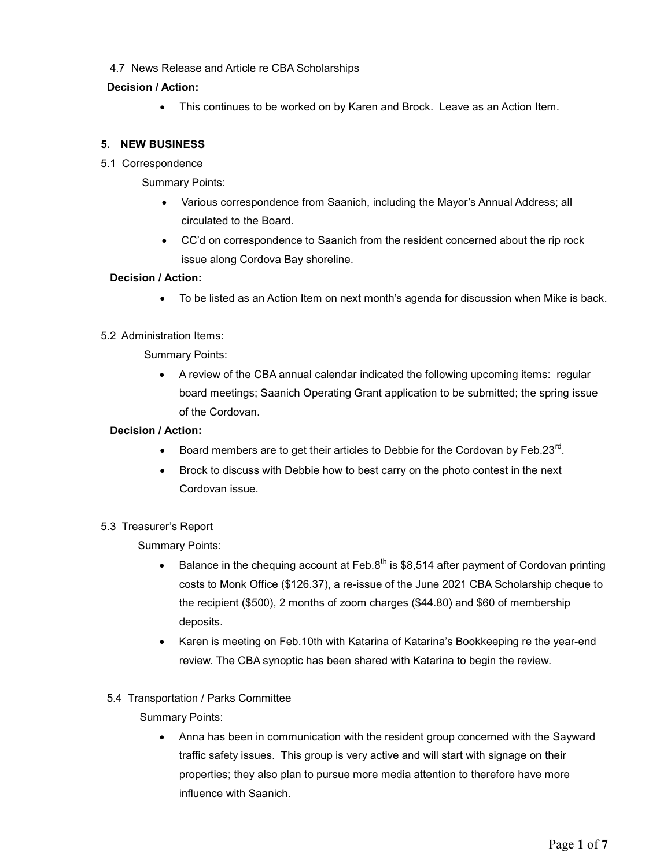4.7 News Release and Article re CBA Scholarships

## Decision / Action:

• This continues to be worked on by Karen and Brock. Leave as an Action Item.

# 5. NEW BUSINESS

5.1 Correspondence

Summary Points:

- Various correspondence from Saanich, including the Mayor's Annual Address; all circulated to the Board.
- CC'd on correspondence to Saanich from the resident concerned about the rip rock issue along Cordova Bay shoreline.

#### Decision / Action:

To be listed as an Action Item on next month's agenda for discussion when Mike is back.

#### 5.2 Administration Items:

Summary Points:

 A review of the CBA annual calendar indicated the following upcoming items: regular board meetings; Saanich Operating Grant application to be submitted; the spring issue of the Cordovan.

# Decision / Action:

- $\bullet$  Board members are to get their articles to Debbie for the Cordovan by Feb.23<sup>rd</sup>.
- Brock to discuss with Debbie how to best carry on the photo contest in the next Cordovan issue.

## 5.3 Treasurer's Report

Summary Points:

- Balance in the chequing account at Feb.8<sup>th</sup> is \$8,514 after payment of Cordovan printing costs to Monk Office (\$126.37), a re-issue of the June 2021 CBA Scholarship cheque to the recipient (\$500), 2 months of zoom charges (\$44.80) and \$60 of membership deposits.
- Karen is meeting on Feb.10th with Katarina of Katarina's Bookkeeping re the year-end review. The CBA synoptic has been shared with Katarina to begin the review.

## 5.4 Transportation / Parks Committee

Summary Points:

 Anna has been in communication with the resident group concerned with the Sayward traffic safety issues. This group is very active and will start with signage on their properties; they also plan to pursue more media attention to therefore have more influence with Saanich.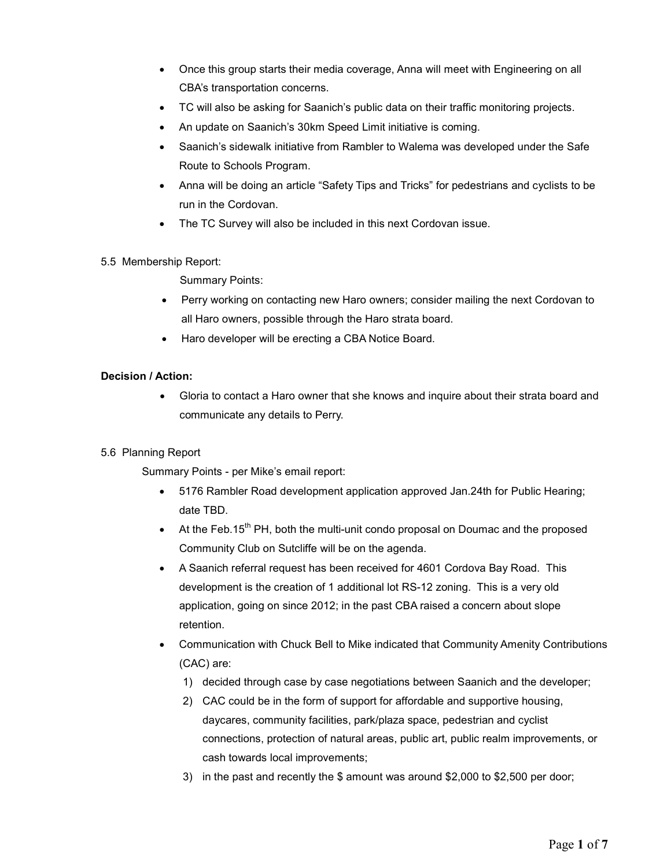- Once this group starts their media coverage, Anna will meet with Engineering on all CBA's transportation concerns.
- TC will also be asking for Saanich's public data on their traffic monitoring projects.
- An update on Saanich's 30km Speed Limit initiative is coming.
- Saanich's sidewalk initiative from Rambler to Walema was developed under the Safe Route to Schools Program.
- Anna will be doing an article "Safety Tips and Tricks" for pedestrians and cyclists to be run in the Cordovan.
- The TC Survey will also be included in this next Cordovan issue.

## 5.5 Membership Report:

Summary Points:

- Perry working on contacting new Haro owners; consider mailing the next Cordovan to all Haro owners, possible through the Haro strata board.
- Haro developer will be erecting a CBA Notice Board.

## Decision / Action:

 Gloria to contact a Haro owner that she knows and inquire about their strata board and communicate any details to Perry.

## 5.6 Planning Report

Summary Points - per Mike's email report:

- 5176 Rambler Road development application approved Jan. 24th for Public Hearing; date TBD.
- At the Feb.15<sup>th</sup> PH, both the multi-unit condo proposal on Doumac and the proposed Community Club on Sutcliffe will be on the agenda.
- A Saanich referral request has been received for 4601 Cordova Bay Road. This development is the creation of 1 additional lot RS-12 zoning. This is a very old application, going on since 2012; in the past CBA raised a concern about slope retention.
- Communication with Chuck Bell to Mike indicated that Community Amenity Contributions (CAC) are:
	- 1) decided through case by case negotiations between Saanich and the developer;
	- 2) CAC could be in the form of support for affordable and supportive housing, daycares, community facilities, park/plaza space, pedestrian and cyclist connections, protection of natural areas, public art, public realm improvements, or cash towards local improvements;
	- 3) in the past and recently the \$ amount was around \$2,000 to \$2,500 per door;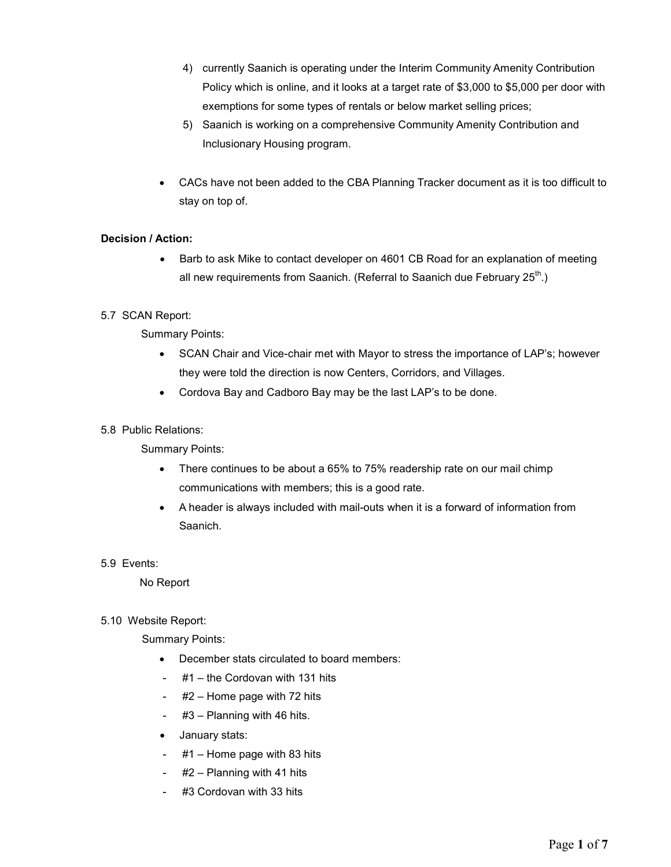- 4) currently Saanich is operating under the Interim Community Amenity Contribution Policy which is online, and it looks at a target rate of \$3,000 to \$5,000 per door with exemptions for some types of rentals or below market selling prices;
- 5) Saanich is working on a comprehensive Community Amenity Contribution and Inclusionary Housing program.
- CACs have not been added to the CBA Planning Tracker document as it is too difficult to stay on top of.

## Decision / Action:

 Barb to ask Mike to contact developer on 4601 CB Road for an explanation of meeting all new requirements from Saanich. (Referral to Saanich due February  $25<sup>th</sup>$ .)

## 5.7 SCAN Report:

Summary Points:

- SCAN Chair and Vice-chair met with Mayor to stress the importance of LAP's; however they were told the direction is now Centers, Corridors, and Villages.
- Cordova Bay and Cadboro Bay may be the last LAP's to be done.

#### 5.8 Public Relations:

Summary Points:

- There continues to be about a 65% to 75% readership rate on our mail chimp communications with members; this is a good rate.
- A header is always included with mail-outs when it is a forward of information from Saanich.
- 5.9 Events:

No Report

5.10 Website Report:

Summary Points:

- December stats circulated to board members:
- #1 the Cordovan with 131 hits
- #2 Home page with 72 hits
- #3 Planning with 46 hits.
- January stats:
- $#1$  Home page with 83 hits
- $#2$  Planning with 41 hits
- #3 Cordovan with 33 hits